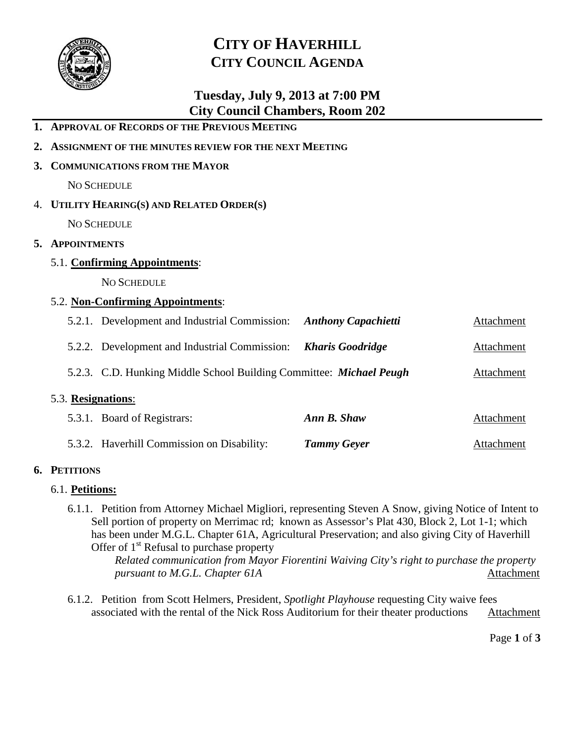

**1. APPROVAL OF RECORDS OF THE PREVIOUS MEETING**

**2. ASSIGNMENT OF THE MINUTES REVIEW FOR THE NEXT MEETING**

# **CITY OF HAVERHILL CITY COUNCIL AGENDA**

## **Tuesday, July 9, 2013 at 7:00 PM City Council Chambers, Room 202**

| 3. COMMUNICATIONS FROM THE MAYOR                                    |                                                                       |                    |                   |  |
|---------------------------------------------------------------------|-----------------------------------------------------------------------|--------------------|-------------------|--|
| <b>NO SCHEDULE</b>                                                  |                                                                       |                    |                   |  |
| 4. UTILITY HEARING(S) AND RELATED ORDER(S)                          |                                                                       |                    |                   |  |
| NO SCHEDULE                                                         |                                                                       |                    |                   |  |
| 5. APPOINTMENTS                                                     |                                                                       |                    |                   |  |
| 5.1. Confirming Appointments:                                       |                                                                       |                    |                   |  |
|                                                                     | <b>NO SCHEDULE</b>                                                    |                    |                   |  |
| 5.2. Non-Confirming Appointments:                                   |                                                                       |                    |                   |  |
|                                                                     | 5.2.1. Development and Industrial Commission: Anthony Capachietti     |                    | Attachment        |  |
|                                                                     | 5.2.2. Development and Industrial Commission: <b>Kharis Goodridge</b> |                    | Attachment        |  |
| 5.2.3. C.D. Hunking Middle School Building Committee: Michael Peugh |                                                                       |                    | <b>Attachment</b> |  |
| 5.3. Resignations:                                                  |                                                                       |                    |                   |  |
|                                                                     | 5.3.1. Board of Registrars:                                           | Ann B. Shaw        | Attachment        |  |
|                                                                     | 5.3.2. Haverhill Commission on Disability:                            | <b>Tammy Geyer</b> | Attachment        |  |

#### **6. PETITIONS**

#### 6.1. **Petitions:**

6.1.1. Petition from Attorney Michael Migliori, representing Steven A Snow, giving Notice of Intent to Sell portion of property on Merrimac rd; known as Assessor's Plat 430, Block 2, Lot 1-1; which has been under M.G.L. Chapter 61A, Agricultural Preservation; and also giving City of Haverhill Offer of  $1<sup>st</sup>$  Refusal to purchase property

*Related communication from Mayor Fiorentini Waiving City's right to purchase the property pursuant to M.G.L. Chapter 61A* Attachment

6.1.2. Petition from Scott Helmers, President, *Spotlight Playhouse* requesting City waive fees associated with the rental of the Nick Ross Auditorium for their theater productions Attachment

Page **1** of **3**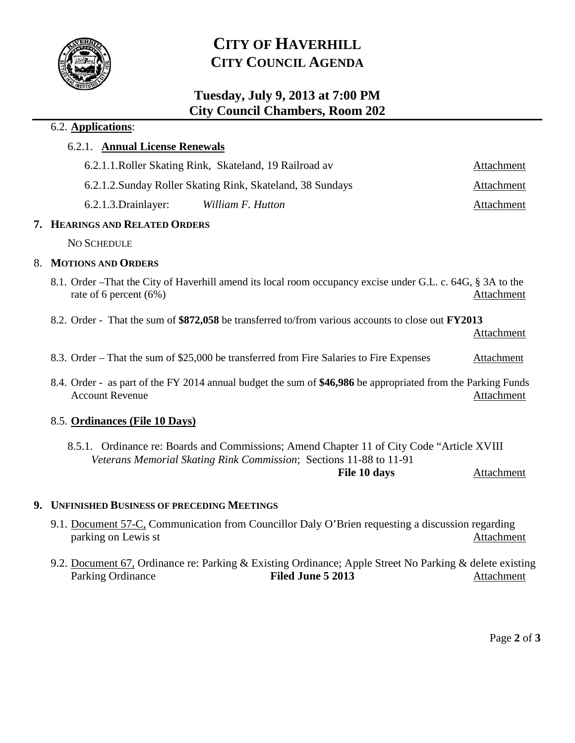

# **CITY OF HAVERHILL CITY COUNCIL AGENDA**

### **Tuesday, July 9, 2013 at 7:00 PM City Council Chambers, Room 202**

#### 6.2. **Applications**:

#### 6.2.1. **Annual License Renewals**

|                      | 6.2.1.1. Roller Skating Rink, Skateland, 19 Railroad av    | Attachment |
|----------------------|------------------------------------------------------------|------------|
|                      | 6.2.1.2. Sunday Roller Skating Rink, Skateland, 38 Sundays | Attachment |
| 6.2.1.3. Drainlayer: | William F. Hutton                                          | Attachment |

#### **7. HEARINGS AND RELATED ORDERS**

NO SCHEDULE

#### 8. **MOTIONS AND ORDERS**

- 8.1. Order –That the City of Haverhill amend its local room occupancy excise under G.L. c. 64G, § 3A to the rate of 6 percent (6%) Attachment
- 8.2. Order That the sum of **\$872,058** be transferred to/from various accounts to close out **FY2013**

Attachment

- 8.3. Order That the sum of \$25,000 be transferred from Fire Salaries to Fire Expenses Attachment
- 8.4. Order as part of the FY 2014 annual budget the sum of **\$46,986** be appropriated from the Parking Funds Account Revenue **Attachment** Attachment

#### 8.5. **Ordinances (File 10 Days)**

8.5.1. Ordinance re: Boards and Commissions; Amend Chapter 11 of City Code "Article XVIII *Veterans Memorial Skating Rink Commission*; Sections 11-88 to 11-91 **File 10 days** Attachment

#### **9. UNFINISHED BUSINESS OF PRECEDING MEETINGS**

- 9.1. Document 57-C, Communication from Councillor Daly O'Brien requesting a discussion regarding parking on Lewis st Attachment
- 9.2. Document 67, Ordinance re: Parking & Existing Ordinance; Apple Street No Parking & delete existing Parking Ordinance **Filed June 5 2013** Attachment

Page **2** of **3**